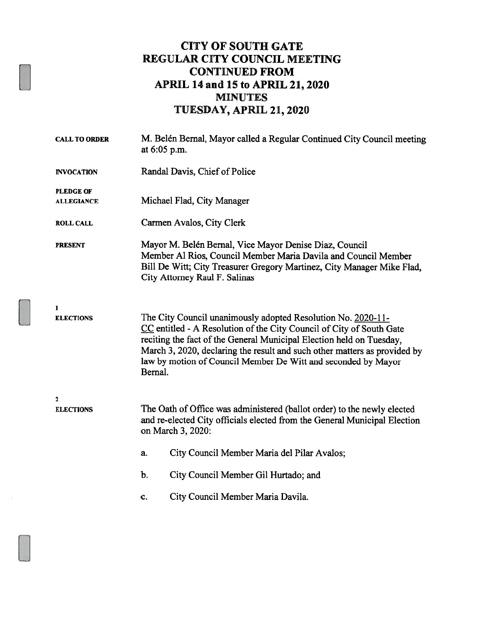# CITY OF SOUTH GATE REGULAR CITY COUNCIL MEETING CONTINUED FROM APRIL 14 and 15 to APRIL 21, 2020 MINUTES TUESDAY, APRIL 21, 2020

| <b>CALL TO ORDER</b>                  | M. Belén Bernal, Mayor called a Regular Continued City Council meeting<br>at 6:05 p.m.                                                                                                                                                                                                                                                                                |
|---------------------------------------|-----------------------------------------------------------------------------------------------------------------------------------------------------------------------------------------------------------------------------------------------------------------------------------------------------------------------------------------------------------------------|
| <b>INVOCATION</b>                     | Randal Davis, Chief of Police                                                                                                                                                                                                                                                                                                                                         |
| <b>PLEDGE OF</b><br><b>ALLEGIANCE</b> | Michael Flad, City Manager                                                                                                                                                                                                                                                                                                                                            |
| <b>ROLL CALL</b>                      | Carmen Avalos, City Clerk                                                                                                                                                                                                                                                                                                                                             |
| <b>PRESENT</b>                        | Mayor M. Belén Bernal, Vice Mayor Denise Diaz, Council<br>Member Al Rios, Council Member Maria Davila and Council Member<br>Bill De Witt; City Treasurer Gregory Martinez, City Manager Mike Flad,<br>City Attorney Raul F. Salinas                                                                                                                                   |
| $\mathbf{1}$<br><b>ELECTIONS</b>      | The City Council unanimously adopted Resolution No. 2020-11-<br>CC entitled - A Resolution of the City Council of City of South Gate<br>reciting the fact of the General Municipal Election held on Tuesday,<br>March 3, 2020, declaring the result and such other matters as provided by<br>law by motion of Council Member De Witt and seconded by Mayor<br>Bernal. |
| $\mathbf{2}$<br><b>ELECTIONS</b>      | The Oath of Office was administered (ballot order) to the newly elected<br>and re-elected City officials elected from the General Municipal Election<br>on March 3, 2020:                                                                                                                                                                                             |
|                                       | City Council Member Maria del Pilar Avalos;<br>a.                                                                                                                                                                                                                                                                                                                     |
|                                       | b.<br>City Council Member Gil Hurtado; and                                                                                                                                                                                                                                                                                                                            |
|                                       | City Council Member Maria Davila.<br>c.                                                                                                                                                                                                                                                                                                                               |
|                                       |                                                                                                                                                                                                                                                                                                                                                                       |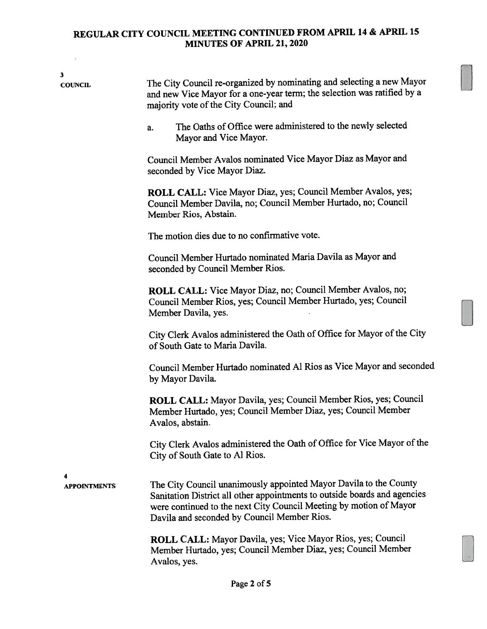$\alpha$ 

| 3<br><b>COUNCIL</b> | The City Council re-organized by nominating and selecting a new Mayor<br>and new Vice Mayor for a one-year term; the selection was ratified by a<br>majority vote of the City Council; and                                                                          |
|---------------------|---------------------------------------------------------------------------------------------------------------------------------------------------------------------------------------------------------------------------------------------------------------------|
|                     | The Oaths of Office were administered to the newly selected<br>a.<br>Mayor and Vice Mayor.                                                                                                                                                                          |
|                     | Council Member Avalos nominated Vice Mayor Diaz as Mayor and<br>seconded by Vice Mayor Diaz.                                                                                                                                                                        |
|                     | ROLL CALL: Vice Mayor Diaz, yes; Council Member Avalos, yes;<br>Council Member Davila, no; Council Member Hurtado, no; Council<br>Member Rios, Abstain.                                                                                                             |
|                     | The motion dies due to no confirmative vote.                                                                                                                                                                                                                        |
|                     | Council Member Hurtado nominated Maria Davila as Mayor and<br>seconded by Council Member Rios.                                                                                                                                                                      |
|                     | ROLL CALL: Vice Mayor Diaz, no; Council Member Avalos, no;<br>Council Member Rios, yes; Council Member Hurtado, yes; Council<br>Member Davila, yes.                                                                                                                 |
|                     | City Clerk Avalos administered the Oath of Office for Mayor of the City<br>of South Gate to Maria Davila.                                                                                                                                                           |
|                     | Council Member Hurtado nominated Al Rios as Vice Mayor and seconded<br>by Mayor Davila.                                                                                                                                                                             |
|                     | ROLL CALL: Mayor Davila, yes; Council Member Rios, yes; Council<br>Member Hurtado, yes; Council Member Diaz, yes; Council Member<br>Avalos, abstain.                                                                                                                |
|                     | City Clerk Avalos administered the Oath of Office for Vice Mayor of the<br>City of South Gate to Al Rios.                                                                                                                                                           |
| <b>APPOINTMENTS</b> | The City Council unanimously appointed Mayor Davila to the County<br>Sanitation District all other appointments to outside boards and agencies<br>were continued to the next City Council Meeting by motion of Mayor<br>Davila and seconded by Council Member Rios. |
|                     | <b>ROLL CALL:</b> Mayor Davila, yes; Vice Mayor Rios, yes; Council<br>Member Hurtado, yes; Council Member Diaz, yes; Council Member<br>Avalos, yes.                                                                                                                 |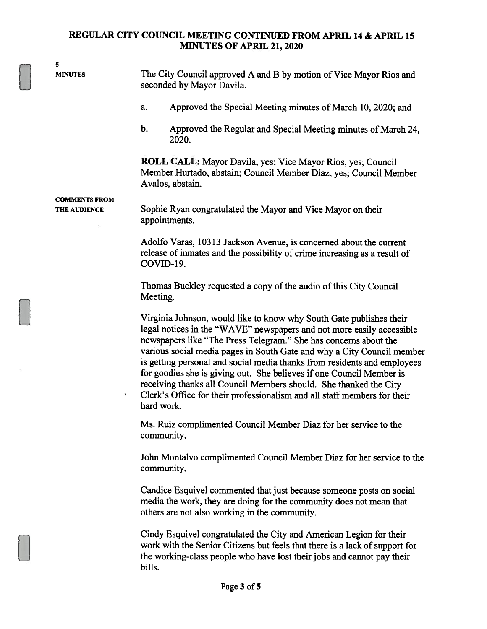5

MINUTES The City Council approved A and B by motion of Vice Mayor Rios and seconded by Mayor Davila.

- a. Approved the Special Meeting minutes of March 10, 2020; and
- b. Approved the Regular and Special Meeting minutes of March 24, 2020.

ROLL CALL: Mayor Davila, yes; Vice Mayor Rios, yes; Council Member Hurtado, abstain; Council Member Diaz, yes; Council Member Avalos, abstain.

COMMENTS FROM

THE AUDIENCE Sophie Ryan congratulated the Mayor and Vice Mayor on their appointments.

> Adolfo Varas, 10313 Jackson Avenue, is concerned about the current release of inmates and the possibility of crime increasing as a result of COVID-19.

Thomas Buckley requested a copy of the audio of this City Council Meeting.

Virginia Johnson, would like to know why South Gate publishes their legal notices in the "WAVE" newspapers and not more easily accessible newspapers like "The Press Telegram." She has concerns about the various social media pages in South Gate and why a City Council member is getting personal and social media thanks from residents and employees for goodies she is giving out. She believes if one Council Member is receiving thanks all Council Members should. She thanked the City Clerk's Office for their professionalism and all staff members for their hard work.

Ms. Ruiz complimented Council Member Diaz for her service to the community.

John Montalvo complimented Council Member Diaz for her service to the community.

Candice Esquivel commented that just because someone posts on social media the work, they are doing for the community does not mean that others are not also working in the community.

Cindy Esquivel congratulated the City and American Legion for their work with the Senior Citizens but feels that there is a lack of support for the working-class people who have lost their jobs and cannot pay their bills.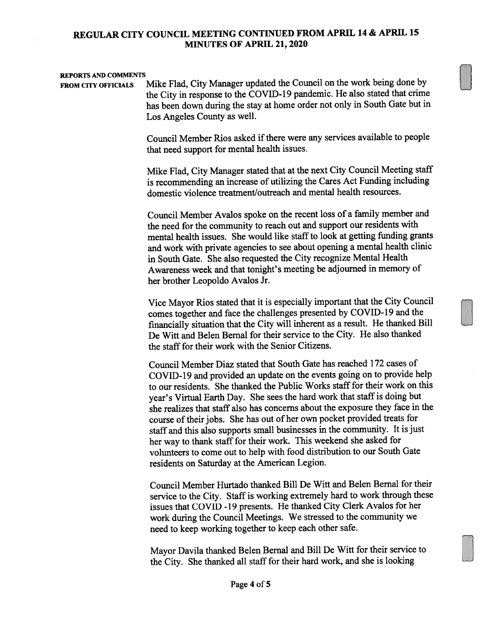#### REPORTS AND COMMENTS

FROM CITY OFFICIALS Mike Flad, City Manager updated the Council on the work being done by the City in response to the COVID-19 pandemic. He also stated that crime has been down during the stay at home order not only in South Gate but in Los Angeles County as well.

> Council Member Rios asked if there were any services available to people that need suppor<sup>t</sup> for mental health issues.

> Mike Flad, City Manager stated that at the next City Council Meeting staff is recommending an increase of utilizing the Cares Act Funding including domestic violence treatment/outreach and mental health resources.

> Council Member Avalos spoke on the recent loss of <sup>a</sup> family member and the need for the community to reach out and suppor<sup>t</sup> our residents with mental health issues. She would like staff to look at getting funding grants and work with private agencies to see about opening <sup>a</sup> mental health clinic in South Gate. She also requested the City recognize Mental Health Awareness week and that tonight's meeting be adjourned in memory of her brother Leopoldo Avalos Jr.

> Vice Mayor Rios stated that it is especially important that the City Council comes together and face the challenges presented by <sup>C</sup>OVID- <sup>19</sup> and the financially situation that the City will inherent as <sup>a</sup> result. He thanked Bill De Witt and Belen Bernal for their service to the City. He also thanked the staff for their work with the Senior Citizens.

> Council Member Diaz stated that South Gate has reached 172 cases of <sup>C</sup>OVID- <sup>19</sup> and provided an update on the events going on to provide help to our residents. She thanked the Public Works staff for their work on this year's Virtual Earth Day. She sees the hard work that staff is doing but she realizes that staff also has concerns about the exposure they face in the course of their jobs. She has out of her own pocket provided treats for staff and this also supports small businesses in the community. It is just her way to thank staff for their work. This weekend she asked for volunteers to come out to help with food distribution to our South Gate residents on Saturday at the American Legion.

> Council Member Hurtado thanked Bill De Witt and Belen Bemal for their service to the City. Staff is working extremely hard to work through these issues that COVID -19 presents. He thanked City Clerk Avalos for her work during the Council Meetings. We stressed to the community we need to keep working together to keep each other safe.

Mayor Davila thanked Belen Bernal and Bill De Witt for their service to the City. She thanked all staff for their hard work, and she is looking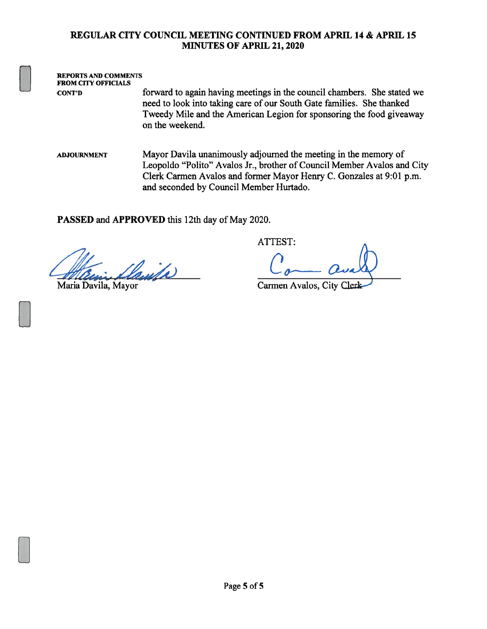### REPORTS AND COMMENTS<br>FROM CITY OFFICIALS<br>CONT'D FROM CITY OFFICIALS

CONT'D forward to again having meetings in the council chambers. She stated we need to look into taking care of our South Gate families. She thanked Tweedy Mile and the American Legion for sponsoring the food giveaway on the weekend.

ADJOURNMENT Mayor Davila unanimously adjourned the meeting in the memory of Leopoldo "Polito" Avalos Jr., brother of Council Member Avalos and City Clerk Carmen Avalos and former Mayor Henry C. Gonzales at 9:01 p.m. and seconded by Council Member Hurtado.

PASSED and APPROVED this 12th day of May 2020.

Cavita

 $\overline{\phantom{a}}$ 

ATTEST:

 $\frac{1}{2}$ 

Maria Davila, Mayor Carmen Avalos, City Cler